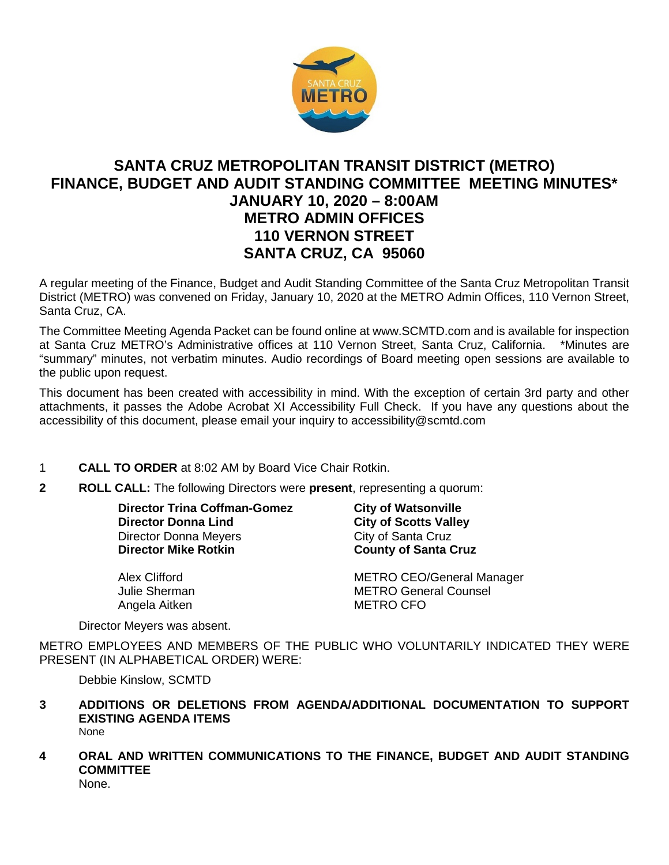

# **SANTA CRUZ METROPOLITAN TRANSIT DISTRICT (METRO) FINANCE, BUDGET AND AUDIT STANDING COMMITTEE MEETING MINUTES\* JANUARY 10, 2020 – 8:00AM METRO ADMIN OFFICES 110 VERNON STREET SANTA CRUZ, CA 95060**

A regular meeting of the Finance, Budget and Audit Standing Committee of the Santa Cruz Metropolitan Transit District (METRO) was convened on Friday, January 10, 2020 at the METRO Admin Offices, 110 Vernon Street, Santa Cruz, CA.

The Committee Meeting Agenda Packet can be found online at www.SCMTD.com and is available for inspection at Santa Cruz METRO's Administrative offices at 110 Vernon Street, Santa Cruz, California. \*Minutes are "summary" minutes, not verbatim minutes. Audio recordings of Board meeting open sessions are available to the public upon request.

This document has been created with accessibility in mind. With the exception of certain 3rd party and other attachments, it passes the Adobe Acrobat XI Accessibility Full Check. If you have any questions about the accessibility of this document, please email your inquiry to accessibility@scmtd.com

## 1 **CALL TO ORDER** at 8:02 AM by Board Vice Chair Rotkin.

**2 ROLL CALL:** The following Directors were **present**, representing a quorum:

**Director Trina Coffman-Gomez City of Watsonville Director Donna Lind City of Scotts Valley** Director Donna Meyers **City of Santa Cruz**<br> **Director Mike Rotkin** County of Santa C

Angela Aitken METRO CFO

**County of Santa Cruz** 

Alex Clifford **METRO CEO/General Manager** Julie Sherman METRO General Counsel

Director Meyers was absent.

METRO EMPLOYEES AND MEMBERS OF THE PUBLIC WHO VOLUNTARILY INDICATED THEY WERE PRESENT (IN ALPHABETICAL ORDER) WERE:

Debbie Kinslow, SCMTD

- **3 ADDITIONS OR DELETIONS FROM AGENDA/ADDITIONAL DOCUMENTATION TO SUPPORT EXISTING AGENDA ITEMS**  None
- **4 ORAL AND WRITTEN COMMUNICATIONS TO THE FINANCE, BUDGET AND AUDIT STANDING COMMITTEE** None.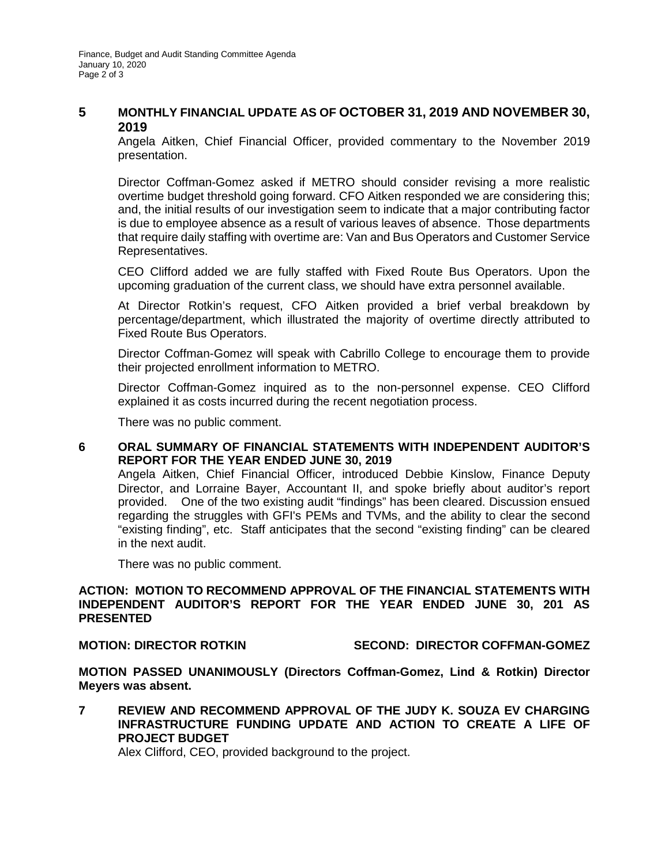# **5 MONTHLY FINANCIAL UPDATE AS OF OCTOBER 31, 2019 AND NOVEMBER 30, 2019**

Angela Aitken, Chief Financial Officer, provided commentary to the November 2019 presentation.

Director Coffman-Gomez asked if METRO should consider revising a more realistic overtime budget threshold going forward. CFO Aitken responded we are considering this; and, the initial results of our investigation seem to indicate that a major contributing factor is due to employee absence as a result of various leaves of absence. Those departments that require daily staffing with overtime are: Van and Bus Operators and Customer Service Representatives.

CEO Clifford added we are fully staffed with Fixed Route Bus Operators. Upon the upcoming graduation of the current class, we should have extra personnel available.

At Director Rotkin's request, CFO Aitken provided a brief verbal breakdown by percentage/department, which illustrated the majority of overtime directly attributed to Fixed Route Bus Operators.

Director Coffman-Gomez will speak with Cabrillo College to encourage them to provide their projected enrollment information to METRO.

Director Coffman-Gomez inquired as to the non-personnel expense. CEO Clifford explained it as costs incurred during the recent negotiation process.

There was no public comment.

### **6 ORAL SUMMARY OF FINANCIAL STATEMENTS WITH INDEPENDENT AUDITOR'S REPORT FOR THE YEAR ENDED JUNE 30, 2019**

Angela Aitken, Chief Financial Officer, introduced Debbie Kinslow, Finance Deputy Director, and Lorraine Bayer, Accountant II, and spoke briefly about auditor's report provided. One of the two existing audit "findings" has been cleared. Discussion ensued regarding the struggles with GFI's PEMs and TVMs, and the ability to clear the second "existing finding", etc. Staff anticipates that the second "existing finding" can be cleared in the next audit.

There was no public comment.

#### **ACTION: MOTION TO RECOMMEND APPROVAL OF THE FINANCIAL STATEMENTS WITH INDEPENDENT AUDITOR'S REPORT FOR THE YEAR ENDED JUNE 30, 201 AS PRESENTED**

#### **MOTION: DIRECTOR ROTKIN SECOND: DIRECTOR COFFMAN-GOMEZ**

**MOTION PASSED UNANIMOUSLY (Directors Coffman-Gomez, Lind & Rotkin) Director Meyers was absent.** 

**7 REVIEW AND RECOMMEND APPROVAL OF THE JUDY K. SOUZA EV CHARGING INFRASTRUCTURE FUNDING UPDATE AND ACTION TO CREATE A LIFE OF PROJECT BUDGET** 

Alex Clifford, CEO, provided background to the project.